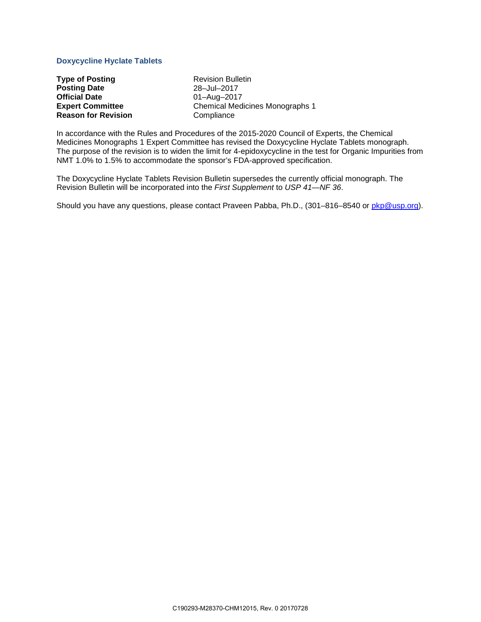# **Doxycycline Hyclate Tablets**

**Type of Posting** <br> **Posting Date Revision Bulletin**<br>  $28 - Ju - 2017$ **Posting Date**<br>**Official Date Official Date Official Date Committee Committee Committee Committee Committee Committee Reason for Revision** 

**Chemical Medicines Monographs 1**<br>**Compliance** 

In accordance with the Rules and Procedures of the 2015-2020 Council of Experts, the Chemical Medicines Monographs 1 Expert Committee has revised the Doxycycline Hyclate Tablets monograph. The purpose of the revision is to widen the limit for 4-epidoxycycline in the test for Organic Impurities from NMT 1.0% to 1.5% to accommodate the sponsor's FDA-approved specification.

The Doxycycline Hyclate Tablets Revision Bulletin supersedes the currently official monograph. The Revision Bulletin will be incorporated into the *First Supplement* to *USP 41—NF 36*.

Should you have any questions, please contact Praveen Pabba, Ph.D., (301–816–8540 or [pkp@usp.org\)](mailto:pkp@usp.org).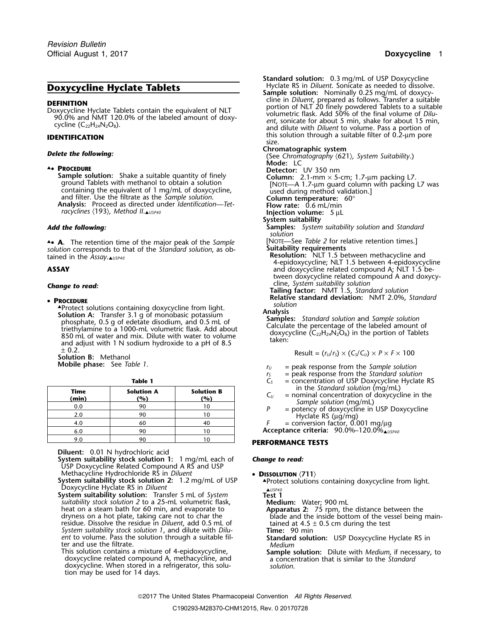### **A. PROCEDURE**

**Sample solution:** Shake a suitable quantity of finely **Column:** 2.1-mm × 5-cm; 1.7-µm packing L7. ground Tablets with methanol to obtain a solution<br>
containing the equivalent of 1 mg/mL of doxycycline,<br>
and filter. Use the filtrate as the *Sample solution*.<br>
Analysis: Proceed as directed under *Identification—Tet*-<br>
Fl *racyclines* 〈193〉*, Method II*.▲*USP40* **Injection volume:**<sup>5</sup> <sup>µ</sup><sup>L</sup>

▲ **A.** The retention time of the major peak of the *Sample* [NOTE—See *Table 2* for relative retention times.]<br>solution corresponds to that of the *Standard solution*, as ob-<br>**Suitability requirements .**• **<sup>A</sup>.** The retention time of the major peak of the *Sample* **Suitability requirements** *solution* corresponds to that of the *Standard solution*, as ob-

### **PROCEDURE**

**A** *solutions* containing doxycycline from light.<br> **Solution** A *solution* A *schmonghoric potentium* **Analysis Solution A:** Transfer 3.1 g of monobasic potassium<br>
phosphate, 0.5 g of edetate disodium, and 0.5 mL of<br>
triethylamine to a 1000-mL volumetric flask. Add about<br>
850 mL of water and mix. Dilute with water to volume<br>
and a <sup>±</sup> 0.2. Result = (*<sup>r</sup>U*/*<sup>r</sup>S*) × (*CS*/*CU*) <sup>×</sup> *<sup>P</sup>* <sup>×</sup> *<sup>F</sup>* <sup>×</sup><sup>100</sup> **Solution B:** Methanol

| Time<br>(min) | <b>Solution A</b><br>(%) | <b>Solution B</b><br>(%) | in the Standard solution (mq/mL)<br>$=$ nominal concentration of doxycycline in the<br><u>Lui</u> |
|---------------|--------------------------|--------------------------|---------------------------------------------------------------------------------------------------|
| 0.0           | 90                       |                          | Sample solution (mg/mL)<br>= potency of doxycycline in USP Doxycycline                            |
| 2.0           | 90                       |                          | Hyclate RS $(\mu q/mq)$                                                                           |
| 4.0           | 60                       | 40                       | $=$ conversion factor, 0.001 mg/ $\mu$ g                                                          |
| 6.0           | 90                       |                          | Acceptance criteria: $90.0\%$ –120.0%                                                             |
| 9 N           | 90                       |                          |                                                                                                   |

**Diluent:** 0.01 N hydrochloric acid

**System suitability stock solution 1:** 1 mg/mL each of *Change to read:* USP Doxycycline Related Compound A RS and USP<br>Methacycline Hydrochloride RS in Diluent

Methacycline Hydrochloride RS in Diluent<br>
System suitability stock solution 2: 1.2 mg/mL of USP<br>
Doxycycline Hyclate RS in Diluent<br>
System suitability solution: Transfer 5 mL of System<br>
System suitability solution: Transfe

**System suitability solution:** Transfer 5 mL of *System* **Test 1 Test 1 Medium:** Water; 900 mL heat on a steam bath for 60 min, and evaporate to<br>
dryness on a hot plate, taking care not to char the<br>
residue. Dissolve the residue in *Diluent*, add 0.5 mL of<br> *System suitability stock solution 1,* and dilute with *Di ent* to volume. Pass the solution through a suitable fil- **Standard solution:** USP Doxycycline Hyclate RS in ter and use the filtrate. *Medium*

doxycycline. When stored in a refrigerator, this solution may be used for 14 days.

**Standard solution:** 0.3 mg/mL of USP Doxycycline **Doxycycline Hyclate Tablets** Hyclate RS in *Diluent*. Sonicate as needed to dissolve. **Sample solution:** Nominally 0.25 mg/mL of doxycy-**DEFINITION**<br>
Doxycycline Hyclate Tablets contain the equivalent of NLT<br>
Doxycycline Hyclate Tablets contain the equivalent of NLT<br>
Portion of NLT 20 finely powdered Tablets to a suitable<br>
yolumetric flask. Add 50% of the this solution through a suitable filter of 0.2-µm pore **IDENTIFICATION** size. **Delete the following:**  $\qquad \qquad \qquad$  **Chromatographic system**  $\qquad \qquad \qquad$  (See *Chromatography*  $\langle 621 \rangle$ *, System Suitability.*)

**Mode:** LC **.**• **PROCEDURE Detector:** UV 350 nm

**System suitability**

*Add the following:* **Samples:** *System suitability solution* and *Standard solution*

tained in the *Assay*.▲*USP40* **And The** *Assay*<br>A-epidoxycycline; NLT 1.5 between 4-epidoxycycline<br>ASSAY **ABSAY** 4-epidoxycycline related compound A; NLT 1.5 beand doxycycline related compound A; NLT 1.5 between doxycycline related compound A and doxycy-<br>cline, System suitability solution

cline, *System suitability solution Change to read:* **Tailing factor:** NMT 1.5, *Standard solution*

**Relative standard deviation:** NMT 2.0%, *Standard* •

$$
Result = (r_U/r_S) \times (C_S/C_U) \times P \times F \times 100
$$

- **Mobile phase:** See *Table 1*.
	- $r_s$  = peak response from the *Standard solution*<br> $C_s$  = concentration of USP Doxycycline Hyclate
	- **Table 1** *C<sub>S</sub>* = concentration of USP Doxycycline Hyclate RS<br> **C**<sub>S</sub> = concentration of USP Doxycycline Hyclate RS<br>
	in the Standard solution (mg/mL)
		-
		-
		- $F =$  conversion factor, 0.001 mg/ $\mu$ g

## **PERFORMANCE TESTS**

This solution contains a mixture of 4-epidoxycycline,<br>
doxycycline related compound A, methacycline, and<br>
doxycycline. When stored in a refrigerator, this solu-<br>
doxycycline. When stored in a refrigerator, this solu-<br>
solu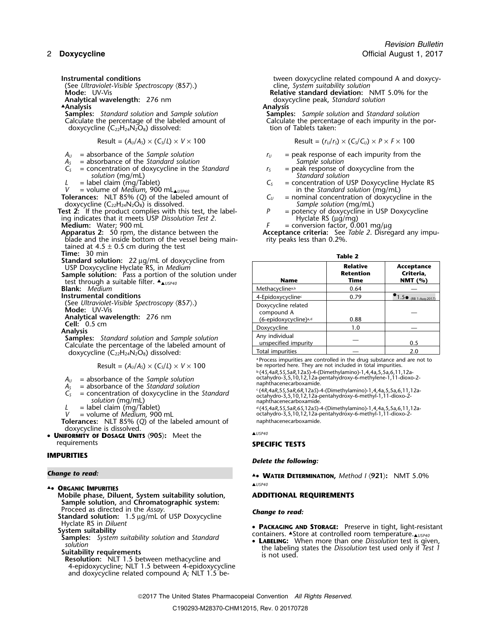(See *Ultraviolet-Visible Spectroscopy* 〈857〉.) cline, *System suitability solution*

▲**.Analysis Analysis Samples:** *Standard solution* and *Sample solution* **Samples:** *Sample solution* and *Standard solution* doxycycline  $(C_{22}H_{24}N_2O_8)$  dissolved:

$$
Result = (A_U/A_S) \times (C_S/L) \times V \times 100
$$

- 
- 
- $A_s$  = absorbance of the *Standard solution*<br> $C_s$  = concentration of doxycycline in the *Standard*  $C_s$  = peak response of doxycycline from the  $C_5$  = concentration of doxycycline in the *Standard*  $r_5$  = peak response of doxycycline in the *Standard r<sub>s</sub>* = peak response of doxycycline in the *Standard solution* (mq/mL) *solution* (mg/mL)<br>= label claim (mg/Tablet)

**Tolerances:** NLT 85% (*Q*) of the labeled amount of *C<sup>U</sup>* = nominal concentration of doxycycline in the doxycycline (C22H24N2O8) is dissolved. *Sample solution* (mg/mL)

**Test 2:** If the product complies with this test, the label- *P* = potency of doxycycline in USP Doxycycline ing indicates that it meets USP *Dissolution Test 2.* Hyclate RS (µg/mg)

- 
- blade and the inside bottom of the vessel being main- rity peaks less than 0.2%. tained at  $4.5 \pm 0.5$  cm during the test<br>Time: 30 min

**Time:** 30 min<br>**Standard solution:** 22 µg/mL of doxycycline from  $\frac{1}{1}$ **USP Doxycycline Hyclate RS, in** *Medium* 

Analysis<br>**Samples:** *Standard solution* and *Sample solution*<br>Calculate the percentage of the labeled amount of doxycycline  $(C_{22}H_{24}N_2O_8)$  dissolved:

$$
4U
$$
 = absorbance of the Sample solution

- $A_s$  = absorbance of the *Standard solution*<br>  $C_s$  = concentration of doxycycline in the *Standard*<br>
solution (mg/mL)<br>  $L$  = label claim (mg/Tablet)  $\begin{array}{c} \text{if } \{A, A, B, S, S, A, R, I, 1, 2, 3\} \}$ <br>  $L$  = label claim (mg/Tabl
- 
- 

**Tolerances:** NLT 85% (*Q*) of the labeled amount of aphthacenecarboxamide.<br>doxycycline is dissolved.

doxycycline is dissolved. ▲*USP40* • **UNIFORMITY OF DOSAGE UNITS** 〈**905**〉**:** Meet the requirements **SPECIFIC TESTS**

## **IMPURITIES**

### **Change to read:**

- ▲*USP40* ▲**. ORGANIC IMPURITIES**
	- **Mobile phase, Diluent, System suitability solution, ADDITIONAL REQUIREMENTS Sample solution, and Chromatographic system:**<br>Proceed as directed in the Assay. Proceed as directed in the *Assay*. *Change to read:* **Standard solution:** 1.5 <sup>µ</sup>g/mL of USP Doxycycline

Hyclate RS in *Diluent* •

- 
- 

4-epidoxycycline; NLT 1.5 between 4-epidoxycycline and doxycycline related compound A; NLT 1.5 be-

**Instrumental conditions** the state of the state of tween doxycycline related compound A and doxycy-

**Relative standard deviation:** NMT 5.0% for the **Analytical wavelength:** 276 nm<br> **Analysis Analysis Analysis Analysis Analysis** 

Calculate the percentage of each impurity in the por-<br>tion of Tablets taken:

 $Result = (r<sub>U</sub>/r<sub>S</sub>) \times (C<sub>S</sub>/C<sub>U</sub>) \times P \times F \times 100$ 

- $A_U$  = absorbance of the *Sample solution*  $r_U$  = peak response of each impurity from the
	-
- *L* = label claim (mg/Tablet)  $L =$  in the *Standard solution* (mg/mL)  $V =$  volume of *Medium*, 900 mL $_{\text{a} \cup s_{P40}}$  and the *Standard solution* (mg/mL) *V* = volume of *Medium*, 900 mL▲*USP40* in the *Standard solution* (mg/mL)
	-
	-
	-

**Medium:** Water; 900 mL<br>**Apparatus 2:** 50 rpm, the distance between the **Acceptance criteria:** See Table 2. Disreg Acceptance criteria: See *Table 2*. Disregard any impu-

| о |  |
|---|--|
| × |  |

| Standard solution: $22 \mu$ g/mL of doxycycline from<br>USP Doxycycline Hyclate RS, in Medium<br><b>Sample solution:</b> Pass a portion of the solution under<br>test through a suitable filter. $\triangleq_{\triangle USP40}$ | <b>Name</b>                                                            | <b>Relative</b><br><b>Retention</b><br>Time | Acceptance<br>Criteria,<br>NMT $(%)$     |
|---------------------------------------------------------------------------------------------------------------------------------------------------------------------------------------------------------------------------------|------------------------------------------------------------------------|---------------------------------------------|------------------------------------------|
| <b>Blank:</b> Medium                                                                                                                                                                                                            | Methacycline <sup>a,b</sup>                                            | 0.64                                        |                                          |
| Instrumental conditions                                                                                                                                                                                                         | 4-Epidoxycycline <sup>c</sup>                                          | 0.79                                        | $\bullet$ 1.5 $_{\odot}$ (RB 1-Aug-2017) |
| (See Ultraviolet-Visible Spectroscopy $(857)$ .)<br>Mode: UV-Vis<br>Analytical wavelength: 276 nm                                                                                                                               | Doxycycline related<br>compound A<br>(6-epidoxycycline) <sup>a,d</sup> | 0.88                                        |                                          |
| <b>Cell:</b> $0.5 \text{ cm}$<br>Analysis                                                                                                                                                                                       | Doxycycline                                                            | 1.0                                         |                                          |
| <b>Samples:</b> Standard solution and Sample solution<br>Calculate the percentage of the labeled amount of                                                                                                                      | Any individual<br>unspecified impurity                                 |                                             | 0.5                                      |
| doxycycline (C <sub>32</sub> H <sub>34</sub> N <sub>3</sub> O <sub>3</sub> ) dissolved <sup>1</sup>                                                                                                                             | Total impurities                                                       |                                             | 2.0                                      |

Process impurities are controlled in the drug substance and are not to "Process impurities are controlled in the drug substance and are not to "Process impurities are controlled in total impurities.<br>Result = (A<sub>U</sub>/A<sub>S</sub>) ×

 $A_U$  = absorbance of the *Sample solution*<br> $A_S$  = absorbance of the *Sample solution*<br> $A_S$  = absorbance of the *Standard solution*<br> $A_S$  = absorbance of the *Standard solution* 

*L* = label claim (mg/Tablet) <sup>d</sup> .(4*S*,4a*R*,5*S*,5a*R*,6*S*,12a*S*)-4-(Dimethylamino)-1,4,4a,5,5a,6,11,12a-*V* = volume of *Medium*, 900 mL *botahydro-3,5,10,12,12a-pentahydroxy-6-methyl-1,11-dioxo-2-* , 900 mL

## *Delete the following:*

**.**• **WATER DETERMINATION,** *Method I* 〈**921**〉**:** NMT 5.0%

- FICIAL RESULTS: Preserve in tight, light-resistant<br>
Stam suitability solution and Standard<br>
Solution solution solution and Standard<br>
Solution solution test is given,
- solution<br>Suitability requirements<br>Resolution: NLT 1.5 between methacycline and<br>Resolution: NLT 1.5 between methacycline and

2017 The United States Pharmacopeial Convention *All Rights Reserved.*